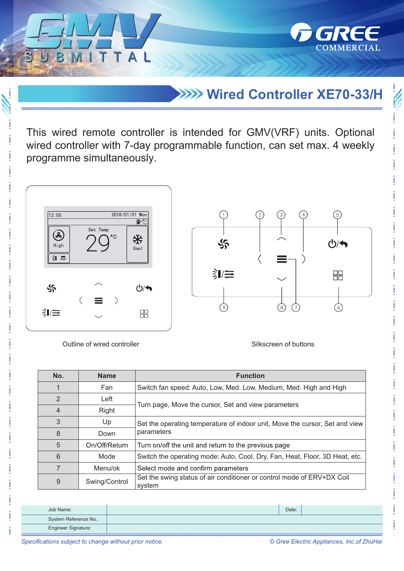**Wired Controller XE70-33/H**

*GREE* 

COMMERCIAL

This wired remote controller is intended for GMV(VRF) units. Optional wired controller with 7-day programmable function, can set max. 4 weekly programme simultaneously.



Outline of wired controller Silkscreen of buttons

 $\overline{\mathcal{T}}$  $\mathbb{Z}$ 

T A

| No.            | <b>Name</b>   | <b>Function</b>                                                                           |  |  |
|----------------|---------------|-------------------------------------------------------------------------------------------|--|--|
|                | Fan           | Switch fan speed: Auto, Low, Med. Low, Medium, Med. High and High                         |  |  |
| $\overline{2}$ | Left          | Turn page, Move the cursor, Set and view parameters                                       |  |  |
| $\overline{4}$ | Right         |                                                                                           |  |  |
| 3              | Up            | Set the operating temperature of indoor unit, Move the cursor, Set and view<br>parameters |  |  |
| 8              | Down          |                                                                                           |  |  |
| 5              | On/Off/Return | Turn on/off the unit and return to the previous page                                      |  |  |
| 6              | Mode          | Switch the operating mode: Auto, Cool, Dry, Fan, Heat, Floor, 3D Heat, etc.               |  |  |
|                | Menu/ok       | Select mode and confirm parameters                                                        |  |  |
| 9              | Swing/Control | Set the swing status of air conditioner or control mode of ERV+DX Coil<br>system          |  |  |

| Job Name:             | Date: |  |
|-----------------------|-------|--|
| System Reference No.: |       |  |
| Engineer Signature:   |       |  |

*Specifications subject to change without prior notice. © Gree Electric Appliances, Inc.of ZhuHai*